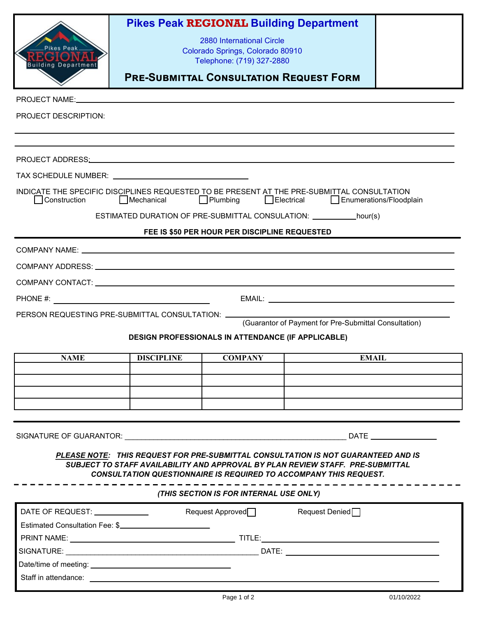| <b>Pikes Peak</b>                                                                                                                                                                                                              |                                |                                                               | <b>Pikes Peak REGIONAL Building Department</b>                                                                                                             |  |  |  |
|--------------------------------------------------------------------------------------------------------------------------------------------------------------------------------------------------------------------------------|--------------------------------|---------------------------------------------------------------|------------------------------------------------------------------------------------------------------------------------------------------------------------|--|--|--|
|                                                                                                                                                                                                                                |                                | 2880 International Circle                                     |                                                                                                                                                            |  |  |  |
|                                                                                                                                                                                                                                |                                | Colorado Springs, Colorado 80910<br>Telephone: (719) 327-2880 |                                                                                                                                                            |  |  |  |
| <b>Building Departmen</b>                                                                                                                                                                                                      |                                |                                                               | <b>PRE-SUBMITTAL CONSULTATION REQUEST FORM</b>                                                                                                             |  |  |  |
|                                                                                                                                                                                                                                |                                |                                                               |                                                                                                                                                            |  |  |  |
| PROJECT NAME: University of the contract of the contract of the contract of the contract of the contract of the contract of the contract of the contract of the contract of the contract of the contract of the contract of th |                                |                                                               |                                                                                                                                                            |  |  |  |
| <b>PROJECT DESCRIPTION:</b>                                                                                                                                                                                                    |                                |                                                               |                                                                                                                                                            |  |  |  |
|                                                                                                                                                                                                                                |                                |                                                               |                                                                                                                                                            |  |  |  |
|                                                                                                                                                                                                                                |                                |                                                               |                                                                                                                                                            |  |  |  |
|                                                                                                                                                                                                                                |                                |                                                               |                                                                                                                                                            |  |  |  |
| INDICATE THE SPECIFIC DISCIPLINES REQUESTED TO BE PRESENT AT THE PRE-SUBMITTAL CONSULTATION                                                                                                                                    |                                |                                                               |                                                                                                                                                            |  |  |  |
| Mechanical Plumbing Bectrical Enumerations/Floodplain<br>Construction                                                                                                                                                          |                                |                                                               |                                                                                                                                                            |  |  |  |
| ESTIMATED DURATION OF PRE-SUBMITTAL CONSULATION: ____________hour(s)                                                                                                                                                           |                                |                                                               |                                                                                                                                                            |  |  |  |
| FEE IS \$50 PER HOUR PER DISCIPLINE REQUESTED                                                                                                                                                                                  |                                |                                                               |                                                                                                                                                            |  |  |  |
|                                                                                                                                                                                                                                |                                |                                                               |                                                                                                                                                            |  |  |  |
|                                                                                                                                                                                                                                |                                |                                                               |                                                                                                                                                            |  |  |  |
|                                                                                                                                                                                                                                |                                |                                                               |                                                                                                                                                            |  |  |  |
|                                                                                                                                                                                                                                |                                |                                                               |                                                                                                                                                            |  |  |  |
| PERSON REQUESTING PRE-SUBMITTAL CONSULTATION: __                                                                                                                                                                               |                                |                                                               |                                                                                                                                                            |  |  |  |
| (Guarantor of Payment for Pre-Submittal Consultation)                                                                                                                                                                          |                                |                                                               |                                                                                                                                                            |  |  |  |
|                                                                                                                                                                                                                                |                                | DESIGN PROFESSIONALS IN ATTENDANCE (IF APPLICABLE)            |                                                                                                                                                            |  |  |  |
| <b>NAME</b>                                                                                                                                                                                                                    | <b>DISCIPLINE</b>              | <b>COMPANY</b>                                                | <b>EMAIL</b>                                                                                                                                               |  |  |  |
|                                                                                                                                                                                                                                |                                |                                                               |                                                                                                                                                            |  |  |  |
|                                                                                                                                                                                                                                |                                |                                                               |                                                                                                                                                            |  |  |  |
|                                                                                                                                                                                                                                |                                |                                                               |                                                                                                                                                            |  |  |  |
|                                                                                                                                                                                                                                |                                |                                                               |                                                                                                                                                            |  |  |  |
|                                                                                                                                                                                                                                |                                |                                                               |                                                                                                                                                            |  |  |  |
|                                                                                                                                                                                                                                |                                |                                                               | PLEASE NOTE: THIS REQUEST FOR PRE-SUBMITTAL CONSULTATION IS NOT GUARANTEED AND IS                                                                          |  |  |  |
|                                                                                                                                                                                                                                |                                |                                                               | SUBJECT TO STAFF AVAILABILITY AND APPROVAL BY PLAN REVIEW STAFF. PRE-SUBMITTAL<br><b>CONSULTATION QUESTIONNAIRE IS REQUIRED TO ACCOMPANY THIS REQUEST.</b> |  |  |  |
|                                                                                                                                                                                                                                |                                |                                                               |                                                                                                                                                            |  |  |  |
|                                                                                                                                                                                                                                |                                | (THIS SECTION IS FOR INTERNAL USE ONLY)                       |                                                                                                                                                            |  |  |  |
| DATE OF REQUEST: _____________                                                                                                                                                                                                 |                                | Request Approved <sub>1</sub>                                 | Request Denied <sup>[1]</sup>                                                                                                                              |  |  |  |
|                                                                                                                                                                                                                                | Estimated Consultation Fee: \$ |                                                               |                                                                                                                                                            |  |  |  |
|                                                                                                                                                                                                                                |                                |                                                               |                                                                                                                                                            |  |  |  |
|                                                                                                                                                                                                                                |                                |                                                               |                                                                                                                                                            |  |  |  |
|                                                                                                                                                                                                                                |                                |                                                               |                                                                                                                                                            |  |  |  |
|                                                                                                                                                                                                                                |                                |                                                               |                                                                                                                                                            |  |  |  |